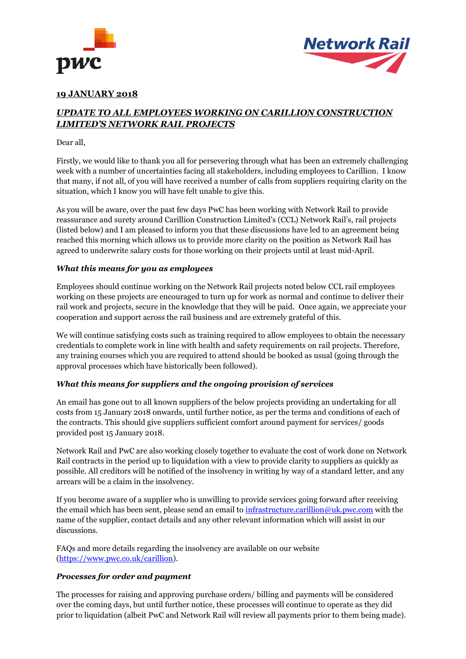



## **19 JANUARY 2018**

# *UPDATE TO ALL EMPLOYEES WORKING ON CARILLION CONSTRUCTION LIMITED'S NETWORK RAIL PROJECTS*

### Dear all,

Firstly, we would like to thank you all for persevering through what has been an extremely challenging week with a number of uncertainties facing all stakeholders, including employees to Carillion. I know that many, if not all, of you will have received a number of calls from suppliers requiring clarity on the situation, which I know you will have felt unable to give this.

As you will be aware, over the past few days PwC has been working with Network Rail to provide reassurance and surety around Carillion Construction Limited's (CCL) Network Rail's, rail projects (listed below) and I am pleased to inform you that these discussions have led to an agreement being reached this morning which allows us to provide more clarity on the position as Network Rail has agreed to underwrite salary costs for those working on their projects until at least mid-April.

### *What this means for you as employees*

Employees should continue working on the Network Rail projects noted below CCL rail employees working on these projects are encouraged to turn up for work as normal and continue to deliver their rail work and projects, secure in the knowledge that they will be paid. Once again, we appreciate your cooperation and support across the rail business and are extremely grateful of this.

We will continue satisfying costs such as training required to allow employees to obtain the necessary credentials to complete work in line with health and safety requirements on rail projects. Therefore, any training courses which you are required to attend should be booked as usual (going through the approval processes which have historically been followed).

### *What this means for suppliers and the ongoing provision of services*

An email has gone out to all known suppliers of the below projects providing an undertaking for all costs from 15 January 2018 onwards, until further notice, as per the terms and conditions of each of the contracts. This should give suppliers sufficient comfort around payment for services/ goods provided post 15 January 2018.

Network Rail and PwC are also working closely together to evaluate the cost of work done on Network Rail contracts in the period up to liquidation with a view to provide clarity to suppliers as quickly as possible. All creditors will be notified of the insolvency in writing by way of a standard letter, and any arrears will be a claim in the insolvency.

If you become aware of a supplier who is unwilling to provide services going forward after receiving the email which has been sent, please send an email to [infrastructure.carillion@uk.pwc.com](mailto:infrastructure.carillion@uk.pwc.com) with the name of the supplier, contact details and any other relevant information which will assist in our discussions.

FAQs and more details regarding the insolvency are available on our website [\(https://www.pwc.co.uk/carillion\)](https://www.pwc.co.uk/carillion).

### *Processes for order and payment*

The processes for raising and approving purchase orders/ billing and payments will be considered over the coming days, but until further notice, these processes will continue to operate as they did prior to liquidation (albeit PwC and Network Rail will review all payments prior to them being made).